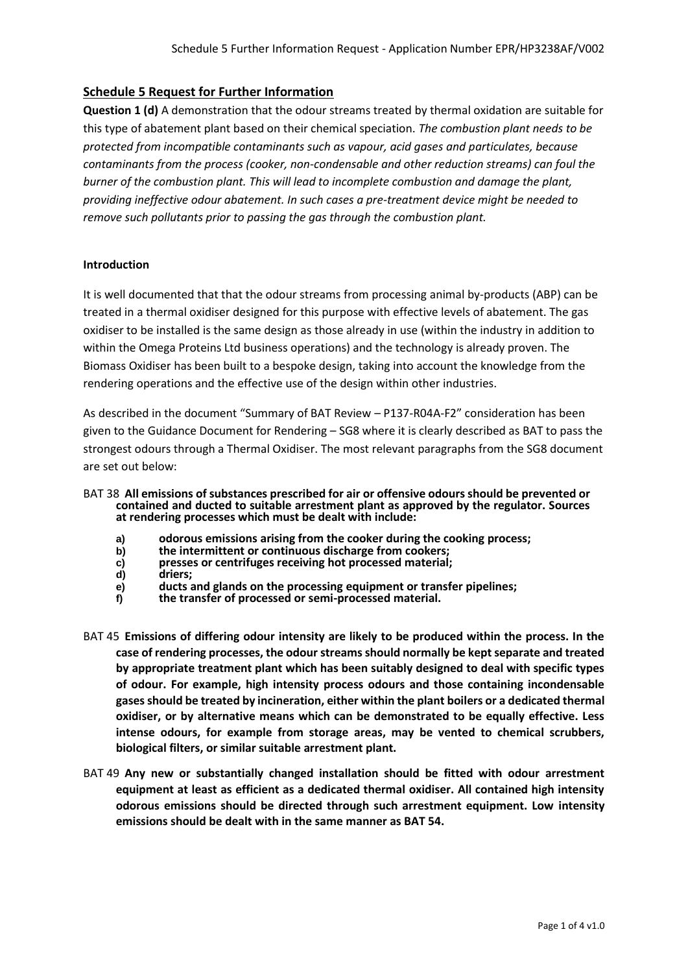# **Schedule 5 Request for Further Information**

**Question 1 (d)** A demonstration that the odour streams treated by thermal oxidation are suitable for this type of abatement plant based on their chemical speciation. *The combustion plant needs to be protected from incompatible contaminants such as vapour, acid gases and particulates, because contaminants from the process (cooker, non-condensable and other reduction streams) can foul the burner of the combustion plant. This will lead to incomplete combustion and damage the plant, providing ineffective odour abatement. In such cases a pre-treatment device might be needed to remove such pollutants prior to passing the gas through the combustion plant.*

#### **Introduction**

It is well documented that that the odour streams from processing animal by-products (ABP) can be treated in a thermal oxidiser designed for this purpose with effective levels of abatement. The gas oxidiser to be installed is the same design as those already in use (within the industry in addition to within the Omega Proteins Ltd business operations) and the technology is already proven. The Biomass Oxidiser has been built to a bespoke design, taking into account the knowledge from the rendering operations and the effective use of the design within other industries.

As described in the document "Summary of BAT Review – P137-R04A-F2" consideration has been given to the Guidance Document for Rendering – SG8 where it is clearly described as BAT to pass the strongest odours through a Thermal Oxidiser. The most relevant paragraphs from the SG8 document are set out below:

- BAT 38 **All emissions of substances prescribed for air or offensive odours should be prevented or contained and ducted to suitable arrestment plant as approved by the regulator. Sources at rendering processes which must be dealt with include:**
	- **a) odorous emissions arising from the cooker during the cooking process;**
	- **b) the intermittent or continuous discharge from cookers;**
	- **c) presses or centrifuges receiving hot processed material;**
	-
	- **d) driers; e) ducts and glands on the processing equipment or transfer pipelines;**
	- **f) the transfer of processed or semi-processed material.**
- BAT 45 **Emissions of differing odour intensity are likely to be produced within the process. In the case of rendering processes, the odour streams should normally be kept separate and treated by appropriate treatment plant which has been suitably designed to deal with specific types of odour. For example, high intensity process odours and those containing incondensable gases should be treated by incineration, either within the plant boilers or a dedicated thermal oxidiser, or by alternative means which can be demonstrated to be equally effective. Less intense odours, for example from storage areas, may be vented to chemical scrubbers, biological filters, or similar suitable arrestment plant.**
- BAT 49 **Any new or substantially changed installation should be fitted with odour arrestment equipment at least as efficient as a dedicated thermal oxidiser. All contained high intensity odorous emissions should be directed through such arrestment equipment. Low intensity emissions should be dealt with in the same manner as BAT 54.**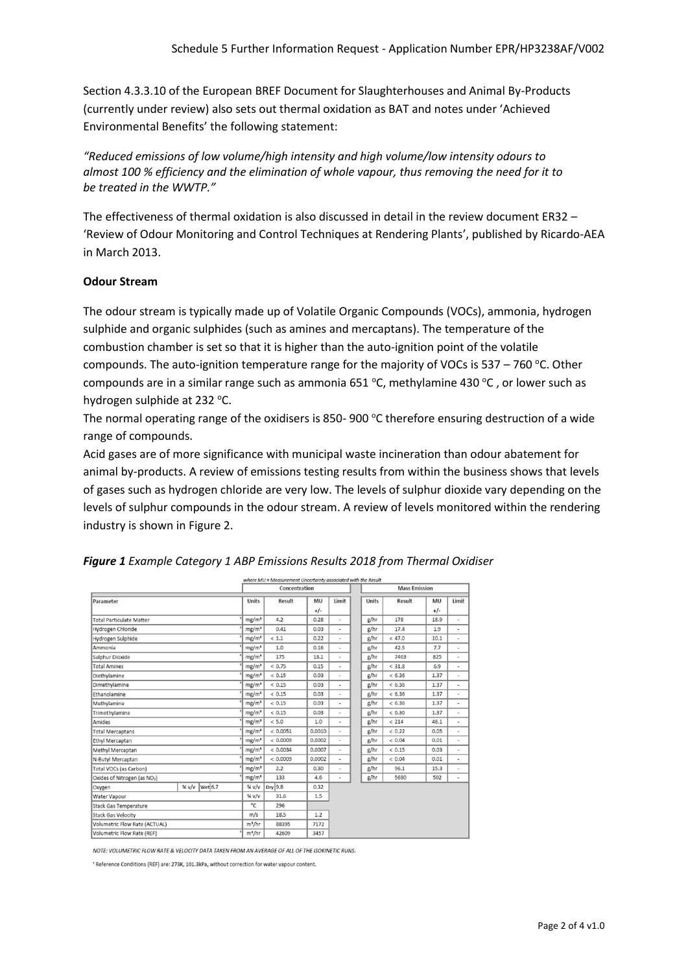Section 4.3.3.10 of the European BREF Document for Slaughterhouses and Animal By-Products (currently under review) also sets out thermal oxidation as BAT and notes under 'Achieved Environmental Benefits' the following statement:

*"Reduced emissions of low volume/high intensity and high volume/low intensity odours to almost 100 % efficiency and the elimination of whole vapour, thus removing the need for it to be treated in the WWTP."*

The effectiveness of thermal oxidation is also discussed in detail in the review document ER32 – 'Review of Odour Monitoring and Control Techniques at Rendering Plants', published by Ricardo-AEA in March 2013.

# **Odour Stream**

The odour stream is typically made up of Volatile Organic Compounds (VOCs), ammonia, hydrogen sulphide and organic sulphides (such as amines and mercaptans). The temperature of the combustion chamber is set so that it is higher than the auto-ignition point of the volatile compounds. The auto-ignition temperature range for the majority of VOCs is  $537 - 760$  °C. Other compounds are in a similar range such as ammonia 651  $\degree$ C, methylamine 430  $\degree$ C, or lower such as hydrogen sulphide at 232 °C.

The normal operating range of the oxidisers is 850-900  $\degree$ C therefore ensuring destruction of a wide range of compounds.

Acid gases are of more significance with municipal waste incineration than odour abatement for animal by-products. A review of emissions testing results from within the business shows that levels of gases such as hydrogen chloride are very low. The levels of sulphur dioxide vary depending on the levels of sulphur compounds in the odour stream. A review of levels monitored within the rendering industry is shown in Figure 2.

|                                          |                 | where MU = Measurement Uncertainty associated with the Result |               |             |                          |              |                      |             |                          |  |
|------------------------------------------|-----------------|---------------------------------------------------------------|---------------|-------------|--------------------------|--------------|----------------------|-------------|--------------------------|--|
|                                          |                 |                                                               | Concentration |             |                          |              | <b>Mass Emission</b> |             |                          |  |
| Parameter                                |                 | <b>Units</b>                                                  | Result        | MU<br>$+/-$ | Limit                    | <b>Units</b> | <b>Result</b>        | MU<br>$+/-$ | Limit                    |  |
| <b>Total Particulate Matter</b>          |                 | mg/m <sup>3</sup>                                             | 4.2           | 0.28        | ٠                        | g/hr         | 178                  | 18.9        |                          |  |
| Hydrogen Chloride                        |                 | mg/m <sup>3</sup>                                             | 0.41          | 0.03        | ×,                       | g/hr         | 17.4                 | 1.9         | ×.                       |  |
| Hydrogen Sulphide                        |                 | mg/m <sup>3</sup>                                             | < 1.1         | 0.22        | ۰                        | g/hr         | < 47.0               | 10.1        | ٠                        |  |
| Ammonia                                  |                 | mg/m <sup>3</sup>                                             | 1.0           | 0.16        | $\overline{\phantom{a}}$ | g/hr         | 42.5                 | 7.7         | ٠                        |  |
| Sulphur Dioxide                          |                 | mg/m <sup>3</sup>                                             | 175           | 13.1        | $\blacksquare$           | g/hr         | 7463                 | 825         | $\overline{\phantom{a}}$ |  |
| <b>Total Amines</b>                      |                 | mg/m <sup>3</sup>                                             | < 0.75        | 0.15        | $\overline{a}$           | g/hr         | < 31.8               | 6.9         | $\overline{\phantom{a}}$ |  |
| Diethylamine                             |                 | mg/m <sup>3</sup>                                             | < 0.15        | 0.03        | ٠                        | g/hr         | & 6.36               | 1.37        | $\overline{\phantom{a}}$ |  |
| Dimethylamine                            |                 | mg/m <sup>3</sup>                                             | < 0.15        | 0.03        | ٠                        | g/hr         | < 6.36               | 1.37        | $\overline{\phantom{a}}$ |  |
| Ethanolamine                             |                 | mg/m <sup>3</sup>                                             | < 0.15        | 0.03        | ٠                        | g/hr         | < 6.36               | 1.37        | $\overline{\phantom{a}}$ |  |
| Methylamine                              |                 | mg/m <sup>3</sup>                                             | < 0.15        | 0.03        | ٠                        | g/hr         | < 6.36               | 1.37        | $\overline{\phantom{a}}$ |  |
| Trimethylamine                           |                 | mg/m <sup>3</sup>                                             | < 0.15        | 0.03        | $\overline{a}$           | g/hr         | < 6.36               | 1.37        |                          |  |
| Amides                                   |                 | mg/m <sup>3</sup>                                             | < 5.0         | 1.0         | ٠                        | g/hr         | < 214                | 46.1        | $\overline{\phantom{a}}$ |  |
| <b>Total Mercaptans</b>                  |                 | mg/m <sup>3</sup>                                             | < 0.0051      | 0.0010      | $\overline{\phantom{a}}$ | g/hr         | < 0.22               | 0.05        | ٠                        |  |
| Ethyl Mercaptan                          |                 | mg/m <sup>3</sup>                                             | < 0.0009      | 0.0002      | ٠                        | g/hr         | < 0.04               | 0.01        | $\ddot{\phantom{0}}$     |  |
| Methyl Mercaptan                         |                 | mg/m <sup>3</sup>                                             | < 0.0034      | 0.0007      | $\blacksquare$           | g/hr         | < 0.15               | 0.03        | $\blacksquare$           |  |
| N-Butyl Mercaptan                        |                 | mg/m <sup>3</sup>                                             | < 0.0009      | 0.0002      | $\overline{\phantom{a}}$ | g/hr         | < 0.04               | 0.01        | ٠                        |  |
| Total VOCs (as Carbon)                   |                 | mg/m <sup>3</sup>                                             | 2.2           | 0.30        | ÷,                       | g/hr         | 96.1                 | 15.3        |                          |  |
| Oxides of Nitrogen (as NO <sub>2</sub> ) |                 | mg/m <sup>3</sup>                                             | 133           | 4.6         | ٠                        | g/hr         | 5680                 | 502         | $\overline{\phantom{a}}$ |  |
| Oxygen                                   | % v/v   Wet 6.7 | % $v/v$                                                       | $Dry$ 9.8     | 0.32        |                          |              |                      |             |                          |  |
| Water Vapour                             |                 | % $v/v$                                                       | 31.6          | 1.5         |                          |              |                      |             |                          |  |
| <b>Stack Gas Temperature</b>             |                 | °C                                                            | 296           |             |                          |              |                      |             |                          |  |
| <b>Stack Gas Velocity</b>                |                 | m/s                                                           | 18.5          | 1.2         |                          |              |                      |             |                          |  |
| Volumetric Flow Rate (ACTUAL)            |                 | $m^3/hr$                                                      | 88395         | 7172        |                          |              |                      |             |                          |  |
| Volumetric Flow Rate (REF)               |                 | $m^3/hr$                                                      | 42609         | 3457        |                          |              |                      |             |                          |  |

# *Figure 1 Example Category 1 ABP Emissions Results 2018 from Thermal Oxidiser*

NOTE: VOLUMETRIC FLOW RATE & VELOCITY DATA TAKEN FROM AN AVERAGE OF ALL OF THE ISOKINETIC RUNS.

<sup>1</sup> Reference Conditions (REF) are: 273K, 101.3kPa, without correction for water vapour content.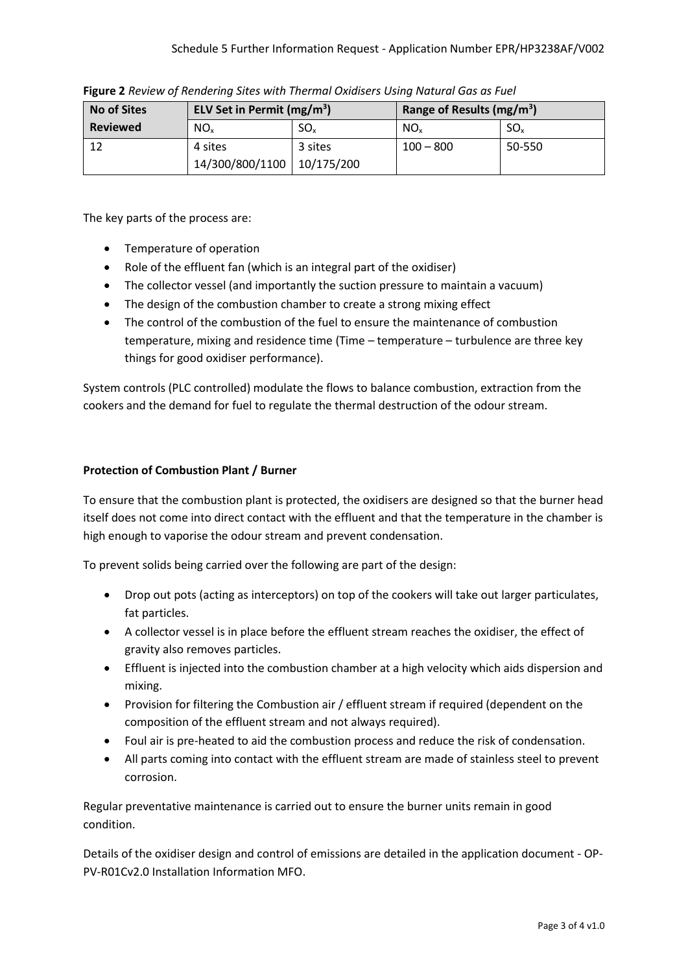| <b>No of Sites</b> | ELV Set in Permit $(mg/m^3)$ |                 | Range of Results (mg/m <sup>3</sup> ) |                 |  |  |
|--------------------|------------------------------|-----------------|---------------------------------------|-----------------|--|--|
| <b>Reviewed</b>    | NO <sub>x</sub>              | SO <sub>x</sub> | NO <sub>x</sub>                       | SO <sub>x</sub> |  |  |
| 12                 | 4 sites                      | 3 sites         | $100 - 800$                           | 50-550          |  |  |
|                    | 14/300/800/1100              | 10/175/200      |                                       |                 |  |  |

**Figure 2** *Review of Rendering Sites with Thermal Oxidisers Using Natural Gas as Fuel*

The key parts of the process are:

- Temperature of operation
- Role of the effluent fan (which is an integral part of the oxidiser)
- The collector vessel (and importantly the suction pressure to maintain a vacuum)
- The design of the combustion chamber to create a strong mixing effect
- The control of the combustion of the fuel to ensure the maintenance of combustion temperature, mixing and residence time (Time – temperature – turbulence are three key things for good oxidiser performance).

System controls (PLC controlled) modulate the flows to balance combustion, extraction from the cookers and the demand for fuel to regulate the thermal destruction of the odour stream.

# **Protection of Combustion Plant / Burner**

To ensure that the combustion plant is protected, the oxidisers are designed so that the burner head itself does not come into direct contact with the effluent and that the temperature in the chamber is high enough to vaporise the odour stream and prevent condensation.

To prevent solids being carried over the following are part of the design:

- Drop out pots (acting as interceptors) on top of the cookers will take out larger particulates, fat particles.
- A collector vessel is in place before the effluent stream reaches the oxidiser, the effect of gravity also removes particles.
- Effluent is injected into the combustion chamber at a high velocity which aids dispersion and mixing.
- Provision for filtering the Combustion air / effluent stream if required (dependent on the composition of the effluent stream and not always required).
- Foul air is pre-heated to aid the combustion process and reduce the risk of condensation.
- All parts coming into contact with the effluent stream are made of stainless steel to prevent corrosion.

Regular preventative maintenance is carried out to ensure the burner units remain in good condition.

Details of the oxidiser design and control of emissions are detailed in the application document - OP-PV-R01Cv2.0 Installation Information MFO.